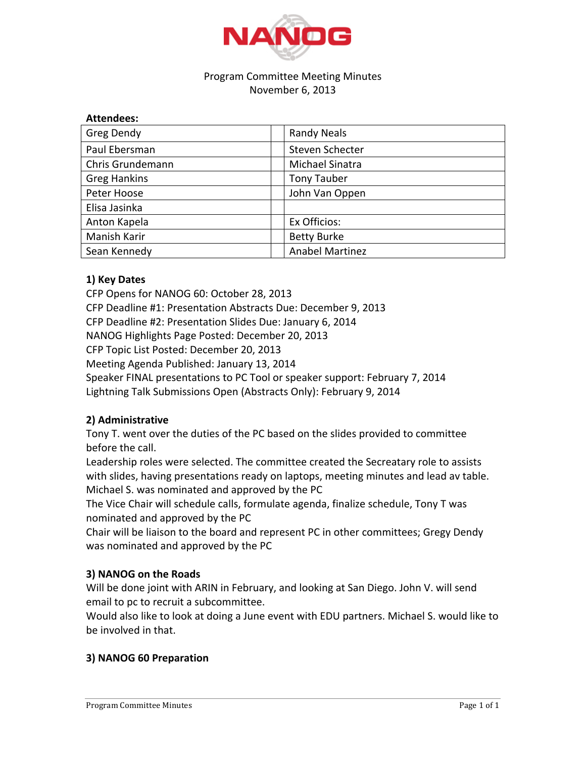

#### Program Committee Meeting Minutes November 6, 2013

| <b>Attendees:</b>   |                        |
|---------------------|------------------------|
| Greg Dendy          | <b>Randy Neals</b>     |
| Paul Ebersman       | Steven Schecter        |
| Chris Grundemann    | Michael Sinatra        |
| <b>Greg Hankins</b> | <b>Tony Tauber</b>     |
| Peter Hoose         | John Van Oppen         |
| Elisa Jasinka       |                        |
| Anton Kapela        | Ex Officios:           |
| Manish Karir        | <b>Betty Burke</b>     |
| Sean Kennedy        | <b>Anabel Martinez</b> |

# **1) Key Dates**

CFP Opens for NANOG 60: October 28, 2013 CFP Deadline #1: Presentation Abstracts Due: December 9, 2013 CFP Deadline #2: Presentation Slides Due: January 6, 2014 NANOG Highlights Page Posted: December 20, 2013 CFP Topic List Posted: December 20, 2013 Meeting Agenda Published: January 13, 2014 Speaker FINAL presentations to PC Tool or speaker support: February 7, 2014 Lightning Talk Submissions Open (Abstracts Only): February 9, 2014

# **2)(Administrative**

Tony T. went over the duties of the PC based on the slides provided to committee before the call.

Leadership roles were selected. The committee created the Secreatary role to assists with slides, having presentations ready on laptops, meeting minutes and lead av table. Michael S. was nominated and approved by the PC

The Vice Chair will schedule calls, formulate agenda, finalize schedule, Tony T was nominated and approved by the PC

Chair will be liaison to the board and represent PC in other committees; Gregy Dendy was nominated and approved by the PC

# **3) NANOG on the Roads**

Will be done joint with ARIN in February, and looking at San Diego. John V. will send email to pc to recruit a subcommittee.

Would also like to look at doing a June event with EDU partners. Michael S. would like to be involved in that.

# **3) NANOG 60 Preparation**